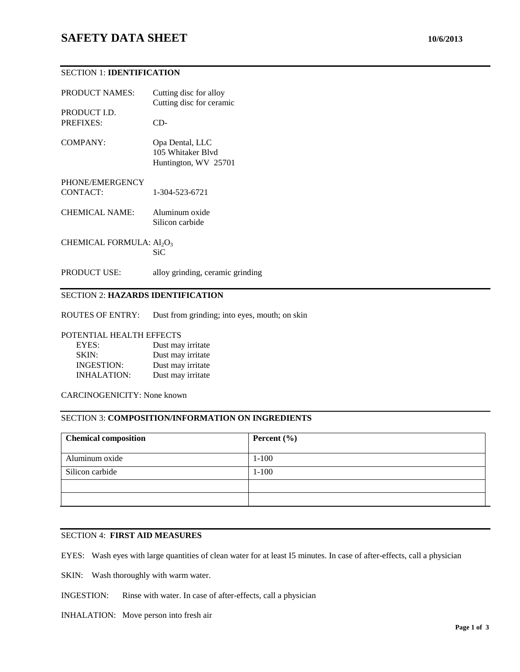### SECTION 1: **IDENTIFICATION**

| <b>PRODUCT NAMES:</b>                            | Cutting disc for alloy<br>Cutting disc for ceramic           |
|--------------------------------------------------|--------------------------------------------------------------|
| PRODUCT I.D.<br><b>PREFIXES:</b>                 | CD-                                                          |
| COMPANY:                                         | Opa Dental, LLC<br>105 Whitaker Blyd<br>Huntington, WV 25701 |
| PHONE/EMERGENCY<br>CONTACT:                      | 1-304-523-6721                                               |
| <b>CHEMICAL NAME:</b>                            | Aluminum oxide<br>Silicon carbide                            |
| CHEMICAL FORMULA: Al <sub>2</sub> O <sub>3</sub> | SiC                                                          |
| <b>PRODUCT USE:</b>                              | alloy grinding, ceramic grinding                             |

# SECTION 2: **HAZARDS IDENTIFICATION**

ROUTES OF ENTRY: Dust from grinding; into eyes, mouth; on skin

#### POTENTIAL HEALTH EFFECTS

| EYES:              | Dust may irritate |
|--------------------|-------------------|
| SKIN:              | Dust may irritate |
| <b>INGESTION:</b>  | Dust may irritate |
| <b>INHALATION:</b> | Dust may irritate |

CARCINOGENICITY: None known

#### SECTION 3: **COMPOSITION/INFORMATION ON INGREDIENTS**

| <b>Chemical composition</b> | Percent $(\% )$ |
|-----------------------------|-----------------|
| Aluminum oxide              | $1 - 100$       |
| Silicon carbide             | $1 - 100$       |
|                             |                 |
|                             |                 |

#### SECTION 4: **FIRST AID MEASURES**

EYES: Wash eyes with large quantities of clean water for at least I5 minutes. In case of after-effects, call a physician

SKIN: Wash thoroughly with warm water.

INGESTION: Rinse with water. In case of after-effects, call a physician

#### INHALATION: Move person into fresh air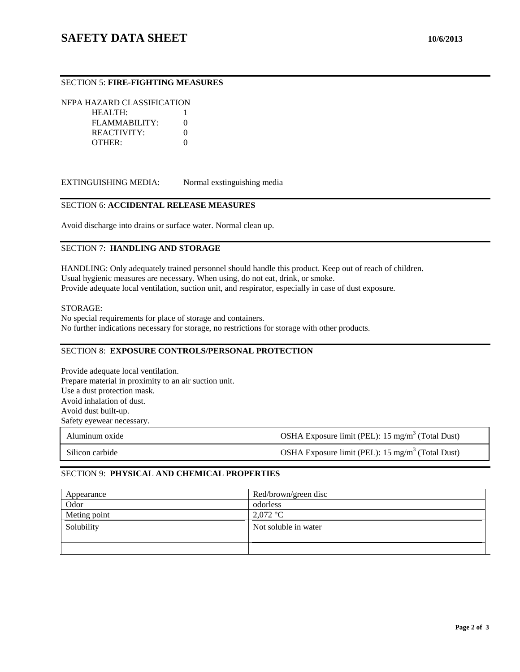# SECTION 5: **FIRE-FIGHTING MEASURES**

NFPA HAZARD CLASSIFICATION HEALTH: 1

FLAMMABILITY: 0 REACTIVITY: 0 OTHER: 0

EXTINGUISHING MEDIA: Normal exstinguishing media

### SECTION 6: **ACCIDENTAL RELEASE MEASURES**

Avoid discharge into drains or surface water. Normal clean up.

#### SECTION 7: **HANDLING AND STORAGE**

HANDLING: Only adequately trained personnel should handle this product. Keep out of reach of children. Usual hygienic measures are necessary. When using, do not eat, drink, or smoke. Provide adequate local ventilation, suction unit, and respirator, especially in case of dust exposure.

#### STORAGE:

No special requirements for place of storage and containers. No further indications necessary for storage, no restrictions for storage with other products.

### SECTION 8: **EXPOSURE CONTROLS/PERSONAL PROTECTION**

Provide adequate local ventilation. Prepare material in proximity to an air suction unit. Use a dust protection mask. Avoid inhalation of dust. Avoid dust built-up. Safety eyewear necessary.

| Aluminum oxide  | OSHA Exposure limit (PEL): $15 \text{ mg/m}^3$ (Total Dust)  |
|-----------------|--------------------------------------------------------------|
| Silicon carbide | OSHA Exposure limit (PEL): 15 mg/m <sup>3</sup> (Total Dust) |

# SECTION 9: **PHYSICAL AND CHEMICAL PROPERTIES**

| Appearance   | Red/brown/green disc |
|--------------|----------------------|
| Odor         | odorless             |
| Meting point | $2,072$ °C           |
| Solubility   | Not soluble in water |
|              |                      |
|              |                      |